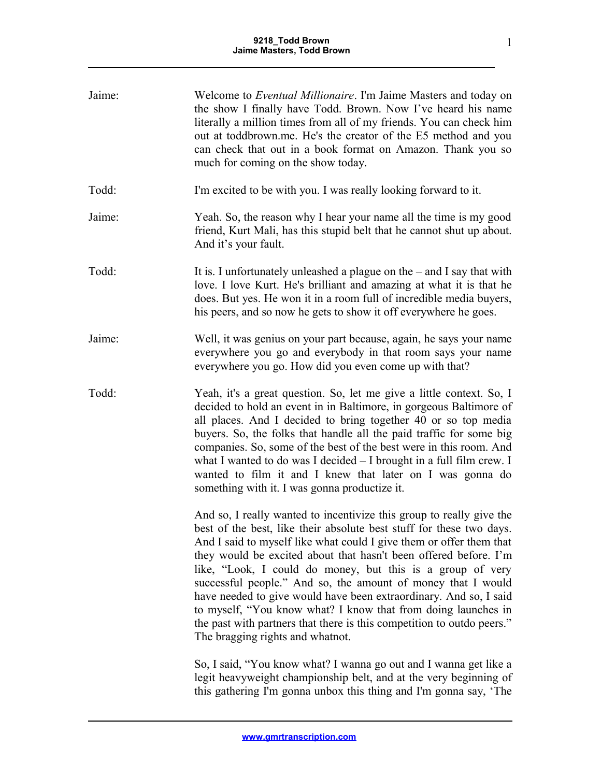| Jaime: | Welcome to <i>Eventual Millionaire</i> . I'm Jaime Masters and today on<br>the show I finally have Todd. Brown. Now I've heard his name<br>literally a million times from all of my friends. You can check him<br>out at toddbrown.me. He's the creator of the E5 method and you<br>can check that out in a book format on Amazon. Thank you so<br>much for coming on the show today.                                                                                                                                                                                                                                                                                     |
|--------|---------------------------------------------------------------------------------------------------------------------------------------------------------------------------------------------------------------------------------------------------------------------------------------------------------------------------------------------------------------------------------------------------------------------------------------------------------------------------------------------------------------------------------------------------------------------------------------------------------------------------------------------------------------------------|
| Todd:  | I'm excited to be with you. I was really looking forward to it.                                                                                                                                                                                                                                                                                                                                                                                                                                                                                                                                                                                                           |
| Jaime: | Yeah. So, the reason why I hear your name all the time is my good<br>friend, Kurt Mali, has this stupid belt that he cannot shut up about.<br>And it's your fault.                                                                                                                                                                                                                                                                                                                                                                                                                                                                                                        |
| Todd:  | It is. I unfortunately unleashed a plague on the $-$ and I say that with<br>love. I love Kurt. He's brilliant and amazing at what it is that he<br>does. But yes. He won it in a room full of incredible media buyers,<br>his peers, and so now he gets to show it off everywhere he goes.                                                                                                                                                                                                                                                                                                                                                                                |
| Jaime: | Well, it was genius on your part because, again, he says your name<br>everywhere you go and everybody in that room says your name<br>everywhere you go. How did you even come up with that?                                                                                                                                                                                                                                                                                                                                                                                                                                                                               |
| Todd:  | Yeah, it's a great question. So, let me give a little context. So, I<br>decided to hold an event in in Baltimore, in gorgeous Baltimore of<br>all places. And I decided to bring together 40 or so top media<br>buyers. So, the folks that handle all the paid traffic for some big<br>companies. So, some of the best of the best were in this room. And<br>what I wanted to do was I decided $-$ I brought in a full film crew. I<br>wanted to film it and I knew that later on I was gonna do<br>something with it. I was gonna productize it.                                                                                                                         |
|        | And so, I really wanted to incentivize this group to really give the<br>best of the best, like their absolute best stuff for these two days.<br>And I said to myself like what could I give them or offer them that<br>they would be excited about that hasn't been offered before. I'm<br>like, "Look, I could do money, but this is a group of very<br>successful people." And so, the amount of money that I would<br>have needed to give would have been extraordinary. And so, I said<br>to myself, "You know what? I know that from doing launches in<br>the past with partners that there is this competition to outdo peers."<br>The bragging rights and whatnot. |
|        | So, I said, "You know what? I wanna go out and I wanna get like a<br>legit heavyweight championship belt, and at the very beginning of<br>this gathering I'm gonna unbox this thing and I'm gonna say, 'The                                                                                                                                                                                                                                                                                                                                                                                                                                                               |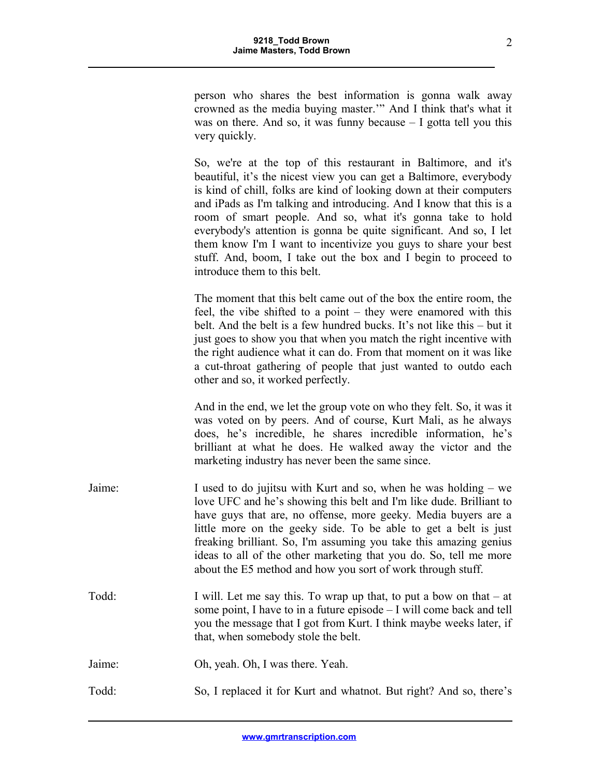person who shares the best information is gonna walk away crowned as the media buying master.'" And I think that's what it was on there. And so, it was funny because  $-1$  gotta tell you this very quickly.

So, we're at the top of this restaurant in Baltimore, and it's beautiful, it's the nicest view you can get a Baltimore, everybody is kind of chill, folks are kind of looking down at their computers and iPads as I'm talking and introducing. And I know that this is a room of smart people. And so, what it's gonna take to hold everybody's attention is gonna be quite significant. And so, I let them know I'm I want to incentivize you guys to share your best stuff. And, boom, I take out the box and I begin to proceed to introduce them to this belt.

The moment that this belt came out of the box the entire room, the feel, the vibe shifted to a point – they were enamored with this belt. And the belt is a few hundred bucks. It's not like this – but it just goes to show you that when you match the right incentive with the right audience what it can do. From that moment on it was like a cut-throat gathering of people that just wanted to outdo each other and so, it worked perfectly.

And in the end, we let the group vote on who they felt. So, it was it was voted on by peers. And of course, Kurt Mali, as he always does, he's incredible, he shares incredible information, he's brilliant at what he does. He walked away the victor and the marketing industry has never been the same since.

- Jaime: I used to do jujitsu with Kurt and so, when he was holding we love UFC and he's showing this belt and I'm like dude. Brilliant to have guys that are, no offense, more geeky. Media buyers are a little more on the geeky side. To be able to get a belt is just freaking brilliant. So, I'm assuming you take this amazing genius ideas to all of the other marketing that you do. So, tell me more about the E5 method and how you sort of work through stuff.
- Todd: I will. Let me say this. To wrap up that, to put a bow on that at some point, I have to in a future episode – I will come back and tell you the message that I got from Kurt. I think maybe weeks later, if that, when somebody stole the belt.
- Jaime: Oh, yeah. Oh, I was there. Yeah.
- Todd: So, I replaced it for Kurt and whatnot. But right? And so, there's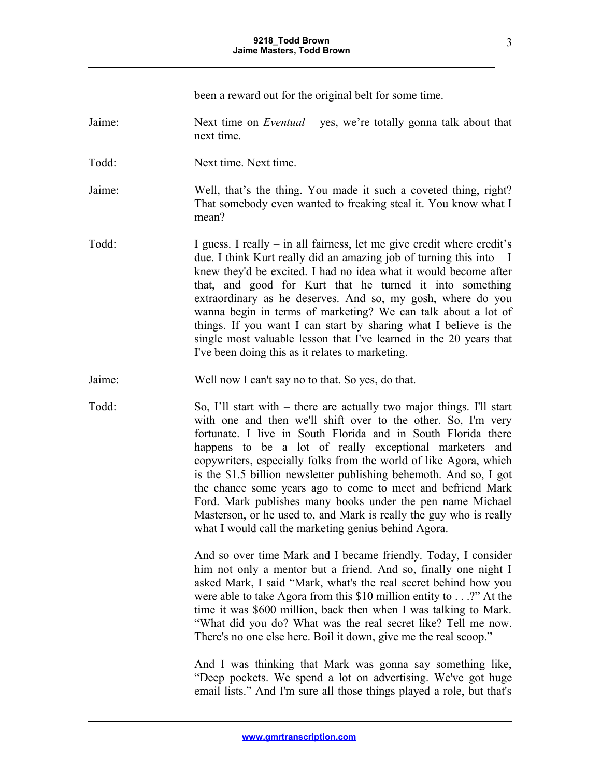|        | been a reward out for the original belt for some time.                                                                                                                                                                                                                                                                                                                                                                                                                                                                                                                                                                                                                   |
|--------|--------------------------------------------------------------------------------------------------------------------------------------------------------------------------------------------------------------------------------------------------------------------------------------------------------------------------------------------------------------------------------------------------------------------------------------------------------------------------------------------------------------------------------------------------------------------------------------------------------------------------------------------------------------------------|
| Jaime: | Next time on <i>Eventual</i> – yes, we're totally gonna talk about that<br>next time.                                                                                                                                                                                                                                                                                                                                                                                                                                                                                                                                                                                    |
| Todd:  | Next time. Next time.                                                                                                                                                                                                                                                                                                                                                                                                                                                                                                                                                                                                                                                    |
| Jaime: | Well, that's the thing. You made it such a coveted thing, right?<br>That somebody even wanted to freaking steal it. You know what I<br>mean?                                                                                                                                                                                                                                                                                                                                                                                                                                                                                                                             |
| Todd:  | I guess. I really $-$ in all fairness, let me give credit where credit's<br>due. I think Kurt really did an amazing job of turning this into $-I$<br>knew they'd be excited. I had no idea what it would become after<br>that, and good for Kurt that he turned it into something<br>extraordinary as he deserves. And so, my gosh, where do you<br>wanna begin in terms of marketing? We can talk about a lot of<br>things. If you want I can start by sharing what I believe is the<br>single most valuable lesson that I've learned in the 20 years that<br>I've been doing this as it relates to marketing.                                                          |
| Jaime: | Well now I can't say no to that. So yes, do that.                                                                                                                                                                                                                                                                                                                                                                                                                                                                                                                                                                                                                        |
| Todd:  | So, I'll start with – there are actually two major things. I'll start<br>with one and then we'll shift over to the other. So, I'm very<br>fortunate. I live in South Florida and in South Florida there<br>happens to be a lot of really exceptional marketers and<br>copywriters, especially folks from the world of like Agora, which<br>is the \$1.5 billion newsletter publishing behemoth. And so, I got<br>the chance some years ago to come to meet and befriend Mark<br>Ford. Mark publishes many books under the pen name Michael<br>Masterson, or he used to, and Mark is really the guy who is really<br>what I would call the marketing genius behind Agora. |
|        | And so over time Mark and I became friendly. Today, I consider<br>him not only a mentor but a friend. And so, finally one night I<br>asked Mark, I said "Mark, what's the real secret behind how you<br>were able to take Agora from this $$10$ million entity to?" At the<br>time it was \$600 million, back then when I was talking to Mark.<br>"What did you do? What was the real secret like? Tell me now.<br>There's no one else here. Boil it down, give me the real scoop."                                                                                                                                                                                      |

And I was thinking that Mark was gonna say something like, "Deep pockets. We spend a lot on advertising. We've got huge email lists." And I'm sure all those things played a role, but that's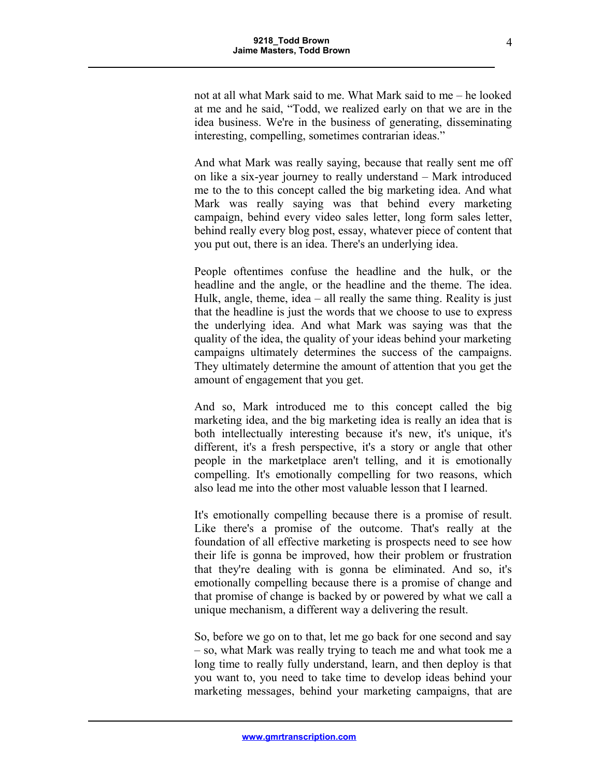not at all what Mark said to me. What Mark said to me – he looked at me and he said, "Todd, we realized early on that we are in the idea business. We're in the business of generating, disseminating interesting, compelling, sometimes contrarian ideas."

And what Mark was really saying, because that really sent me off on like a six-year journey to really understand – Mark introduced me to the to this concept called the big marketing idea. And what Mark was really saying was that behind every marketing campaign, behind every video sales letter, long form sales letter, behind really every blog post, essay, whatever piece of content that you put out, there is an idea. There's an underlying idea.

People oftentimes confuse the headline and the hulk, or the headline and the angle, or the headline and the theme. The idea. Hulk, angle, theme, idea – all really the same thing. Reality is just that the headline is just the words that we choose to use to express the underlying idea. And what Mark was saying was that the quality of the idea, the quality of your ideas behind your marketing campaigns ultimately determines the success of the campaigns. They ultimately determine the amount of attention that you get the amount of engagement that you get.

And so, Mark introduced me to this concept called the big marketing idea, and the big marketing idea is really an idea that is both intellectually interesting because it's new, it's unique, it's different, it's a fresh perspective, it's a story or angle that other people in the marketplace aren't telling, and it is emotionally compelling. It's emotionally compelling for two reasons, which also lead me into the other most valuable lesson that I learned.

It's emotionally compelling because there is a promise of result. Like there's a promise of the outcome. That's really at the foundation of all effective marketing is prospects need to see how their life is gonna be improved, how their problem or frustration that they're dealing with is gonna be eliminated. And so, it's emotionally compelling because there is a promise of change and that promise of change is backed by or powered by what we call a unique mechanism, a different way a delivering the result.

So, before we go on to that, let me go back for one second and say – so, what Mark was really trying to teach me and what took me a long time to really fully understand, learn, and then deploy is that you want to, you need to take time to develop ideas behind your marketing messages, behind your marketing campaigns, that are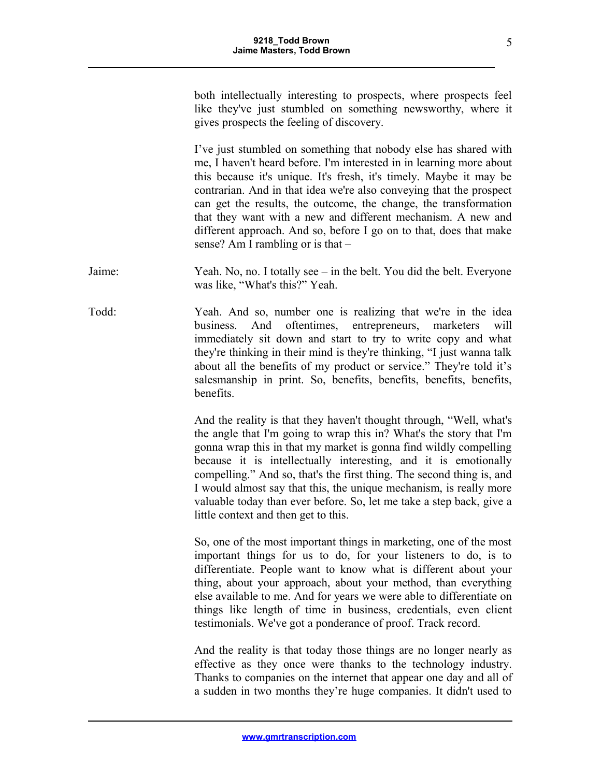both intellectually interesting to prospects, where prospects feel like they've just stumbled on something newsworthy, where it gives prospects the feeling of discovery.

I've just stumbled on something that nobody else has shared with me, I haven't heard before. I'm interested in in learning more about this because it's unique. It's fresh, it's timely. Maybe it may be contrarian. And in that idea we're also conveying that the prospect can get the results, the outcome, the change, the transformation that they want with a new and different mechanism. A new and different approach. And so, before I go on to that, does that make sense? Am I rambling or is that –

Jaime: Yeah. No, no. I totally see – in the belt. You did the belt. Everyone was like, "What's this?" Yeah.

Todd: Yeah. And so, number one is realizing that we're in the idea business. And oftentimes, entrepreneurs, marketers will immediately sit down and start to try to write copy and what they're thinking in their mind is they're thinking, "I just wanna talk about all the benefits of my product or service." They're told it's salesmanship in print. So, benefits, benefits, benefits, benefits, benefits.

> And the reality is that they haven't thought through, "Well, what's the angle that I'm going to wrap this in? What's the story that I'm gonna wrap this in that my market is gonna find wildly compelling because it is intellectually interesting, and it is emotionally compelling." And so, that's the first thing. The second thing is, and I would almost say that this, the unique mechanism, is really more valuable today than ever before. So, let me take a step back, give a little context and then get to this.

> So, one of the most important things in marketing, one of the most important things for us to do, for your listeners to do, is to differentiate. People want to know what is different about your thing, about your approach, about your method, than everything else available to me. And for years we were able to differentiate on things like length of time in business, credentials, even client testimonials. We've got a ponderance of proof. Track record.

> And the reality is that today those things are no longer nearly as effective as they once were thanks to the technology industry. Thanks to companies on the internet that appear one day and all of a sudden in two months they're huge companies. It didn't used to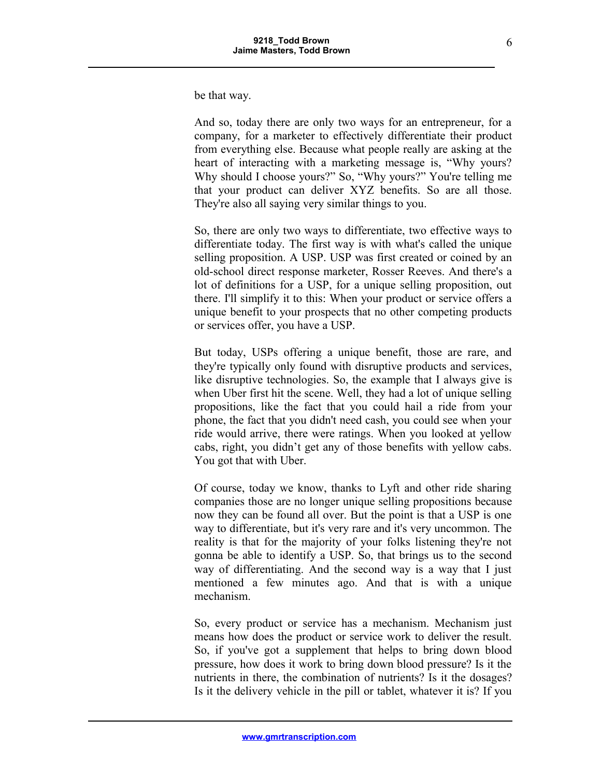be that way.

And so, today there are only two ways for an entrepreneur, for a company, for a marketer to effectively differentiate their product from everything else. Because what people really are asking at the heart of interacting with a marketing message is, "Why yours? Why should I choose yours?" So, "Why yours?" You're telling me that your product can deliver XYZ benefits. So are all those. They're also all saying very similar things to you.

So, there are only two ways to differentiate, two effective ways to differentiate today. The first way is with what's called the unique selling proposition. A USP. USP was first created or coined by an old-school direct response marketer, Rosser Reeves. And there's a lot of definitions for a USP, for a unique selling proposition, out there. I'll simplify it to this: When your product or service offers a unique benefit to your prospects that no other competing products or services offer, you have a USP.

But today, USPs offering a unique benefit, those are rare, and they're typically only found with disruptive products and services, like disruptive technologies. So, the example that I always give is when Uber first hit the scene. Well, they had a lot of unique selling propositions, like the fact that you could hail a ride from your phone, the fact that you didn't need cash, you could see when your ride would arrive, there were ratings. When you looked at yellow cabs, right, you didn't get any of those benefits with yellow cabs. You got that with Uber.

Of course, today we know, thanks to Lyft and other ride sharing companies those are no longer unique selling propositions because now they can be found all over. But the point is that a USP is one way to differentiate, but it's very rare and it's very uncommon. The reality is that for the majority of your folks listening they're not gonna be able to identify a USP. So, that brings us to the second way of differentiating. And the second way is a way that I just mentioned a few minutes ago. And that is with a unique mechanism.

So, every product or service has a mechanism. Mechanism just means how does the product or service work to deliver the result. So, if you've got a supplement that helps to bring down blood pressure, how does it work to bring down blood pressure? Is it the nutrients in there, the combination of nutrients? Is it the dosages? Is it the delivery vehicle in the pill or tablet, whatever it is? If you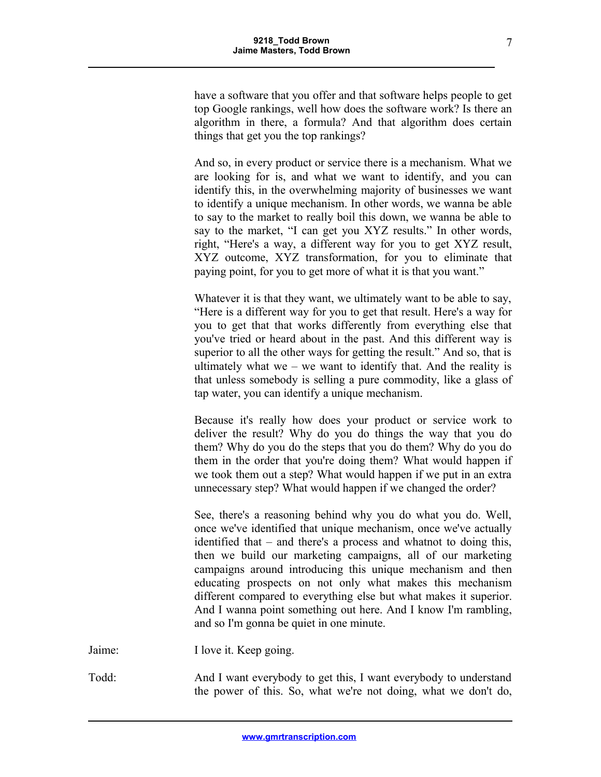have a software that you offer and that software helps people to get top Google rankings, well how does the software work? Is there an algorithm in there, a formula? And that algorithm does certain things that get you the top rankings?

And so, in every product or service there is a mechanism. What we are looking for is, and what we want to identify, and you can identify this, in the overwhelming majority of businesses we want to identify a unique mechanism. In other words, we wanna be able to say to the market to really boil this down, we wanna be able to say to the market, "I can get you XYZ results." In other words, right, "Here's a way, a different way for you to get XYZ result, XYZ outcome, XYZ transformation, for you to eliminate that paying point, for you to get more of what it is that you want."

Whatever it is that they want, we ultimately want to be able to say, "Here is a different way for you to get that result. Here's a way for you to get that that works differently from everything else that you've tried or heard about in the past. And this different way is superior to all the other ways for getting the result." And so, that is ultimately what we – we want to identify that. And the reality is that unless somebody is selling a pure commodity, like a glass of tap water, you can identify a unique mechanism.

Because it's really how does your product or service work to deliver the result? Why do you do things the way that you do them? Why do you do the steps that you do them? Why do you do them in the order that you're doing them? What would happen if we took them out a step? What would happen if we put in an extra unnecessary step? What would happen if we changed the order?

See, there's a reasoning behind why you do what you do. Well, once we've identified that unique mechanism, once we've actually identified that – and there's a process and whatnot to doing this, then we build our marketing campaigns, all of our marketing campaigns around introducing this unique mechanism and then educating prospects on not only what makes this mechanism different compared to everything else but what makes it superior. And I wanna point something out here. And I know I'm rambling, and so I'm gonna be quiet in one minute.

Jaime: I love it. Keep going.

Todd: And I want everybody to get this, I want everybody to understand the power of this. So, what we're not doing, what we don't do,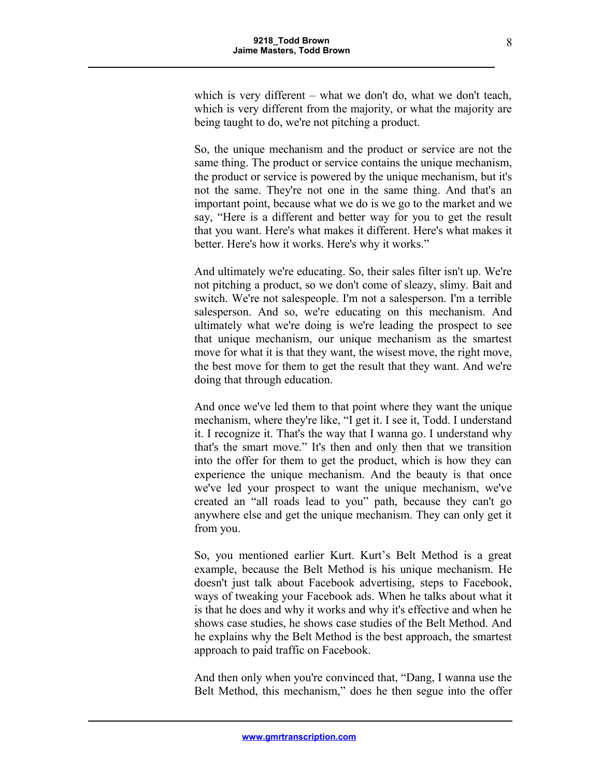which is very different – what we don't do, what we don't teach, which is very different from the majority, or what the majority are being taught to do, we're not pitching a product.

So, the unique mechanism and the product or service are not the same thing. The product or service contains the unique mechanism, the product or service is powered by the unique mechanism, but it's not the same. They're not one in the same thing. And that's an important point, because what we do is we go to the market and we say, "Here is a different and better way for you to get the result that you want. Here's what makes it different. Here's what makes it better. Here's how it works. Here's why it works."

And ultimately we're educating. So, their sales filter isn't up. We're not pitching a product, so we don't come of sleazy, slimy. Bait and switch. We're not salespeople. I'm not a salesperson. I'm a terrible salesperson. And so, we're educating on this mechanism. And ultimately what we're doing is we're leading the prospect to see that unique mechanism, our unique mechanism as the smartest move for what it is that they want, the wisest move, the right move, the best move for them to get the result that they want. And we're doing that through education.

And once we've led them to that point where they want the unique mechanism, where they're like, "I get it. I see it, Todd. I understand it. I recognize it. That's the way that I wanna go. I understand why that's the smart move." It's then and only then that we transition into the offer for them to get the product, which is how they can experience the unique mechanism. And the beauty is that once we've led your prospect to want the unique mechanism, we've created an "all roads lead to you" path, because they can't go anywhere else and get the unique mechanism. They can only get it from you.

So, you mentioned earlier Kurt. Kurt's Belt Method is a great example, because the Belt Method is his unique mechanism. He doesn't just talk about Facebook advertising, steps to Facebook, ways of tweaking your Facebook ads. When he talks about what it is that he does and why it works and why it's effective and when he shows case studies, he shows case studies of the Belt Method. And he explains why the Belt Method is the best approach, the smartest approach to paid traffic on Facebook.

And then only when you're convinced that, "Dang, I wanna use the Belt Method, this mechanism," does he then segue into the offer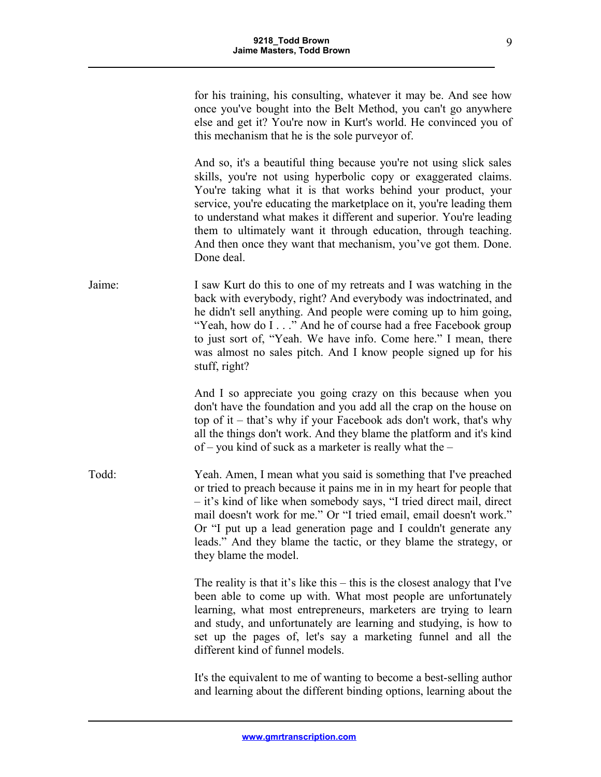for his training, his consulting, whatever it may be. And see how once you've bought into the Belt Method, you can't go anywhere else and get it? You're now in Kurt's world. He convinced you of this mechanism that he is the sole purveyor of.

And so, it's a beautiful thing because you're not using slick sales skills, you're not using hyperbolic copy or exaggerated claims. You're taking what it is that works behind your product, your service, you're educating the marketplace on it, you're leading them to understand what makes it different and superior. You're leading them to ultimately want it through education, through teaching. And then once they want that mechanism, you've got them. Done. Done deal.

Jaime: I saw Kurt do this to one of my retreats and I was watching in the back with everybody, right? And everybody was indoctrinated, and he didn't sell anything. And people were coming up to him going, "Yeah, how do I . . ." And he of course had a free Facebook group to just sort of, "Yeah. We have info. Come here." I mean, there was almost no sales pitch. And I know people signed up for his stuff, right?

> And I so appreciate you going crazy on this because when you don't have the foundation and you add all the crap on the house on top of it – that's why if your Facebook ads don't work, that's why all the things don't work. And they blame the platform and it's kind of – you kind of suck as a marketer is really what the –

Todd: Yeah. Amen, I mean what you said is something that I've preached or tried to preach because it pains me in in my heart for people that – it's kind of like when somebody says, "I tried direct mail, direct mail doesn't work for me." Or "I tried email, email doesn't work." Or "I put up a lead generation page and I couldn't generate any leads." And they blame the tactic, or they blame the strategy, or they blame the model.

> The reality is that it's like this – this is the closest analogy that I've been able to come up with. What most people are unfortunately learning, what most entrepreneurs, marketers are trying to learn and study, and unfortunately are learning and studying, is how to set up the pages of, let's say a marketing funnel and all the different kind of funnel models.

> It's the equivalent to me of wanting to become a best-selling author and learning about the different binding options, learning about the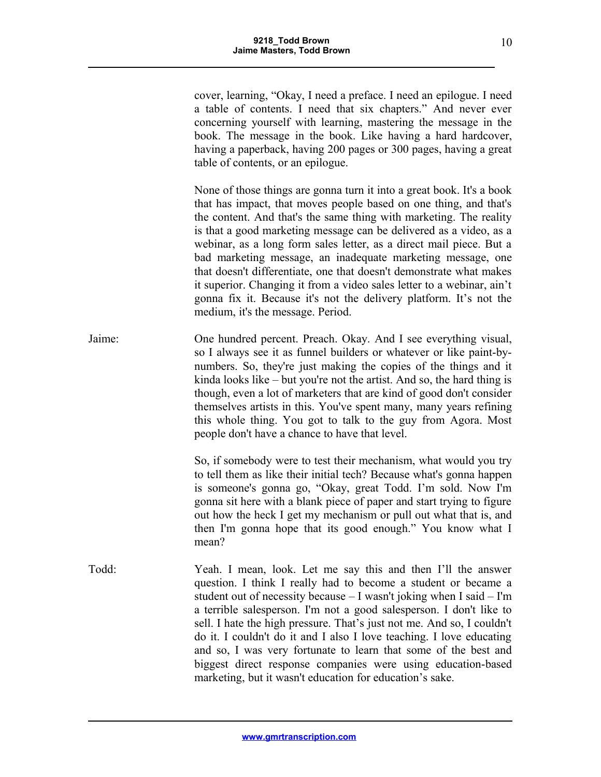cover, learning, "Okay, I need a preface. I need an epilogue. I need a table of contents. I need that six chapters." And never ever concerning yourself with learning, mastering the message in the book. The message in the book. Like having a hard hardcover, having a paperback, having 200 pages or 300 pages, having a great table of contents, or an epilogue.

None of those things are gonna turn it into a great book. It's a book that has impact, that moves people based on one thing, and that's the content. And that's the same thing with marketing. The reality is that a good marketing message can be delivered as a video, as a webinar, as a long form sales letter, as a direct mail piece. But a bad marketing message, an inadequate marketing message, one that doesn't differentiate, one that doesn't demonstrate what makes it superior. Changing it from a video sales letter to a webinar, ain't gonna fix it. Because it's not the delivery platform. It's not the medium, it's the message. Period.

Jaime: One hundred percent. Preach. Okay. And I see everything visual, so I always see it as funnel builders or whatever or like paint-bynumbers. So, they're just making the copies of the things and it kinda looks like – but you're not the artist. And so, the hard thing is though, even a lot of marketers that are kind of good don't consider themselves artists in this. You've spent many, many years refining this whole thing. You got to talk to the guy from Agora. Most people don't have a chance to have that level.

> So, if somebody were to test their mechanism, what would you try to tell them as like their initial tech? Because what's gonna happen is someone's gonna go, "Okay, great Todd. I'm sold. Now I'm gonna sit here with a blank piece of paper and start trying to figure out how the heck I get my mechanism or pull out what that is, and then I'm gonna hope that its good enough." You know what I mean?

Todd: Yeah. I mean, look. Let me say this and then I'll the answer question. I think I really had to become a student or became a student out of necessity because  $-$  I wasn't joking when I said  $-$  I'm a terrible salesperson. I'm not a good salesperson. I don't like to sell. I hate the high pressure. That's just not me. And so, I couldn't do it. I couldn't do it and I also I love teaching. I love educating and so, I was very fortunate to learn that some of the best and biggest direct response companies were using education-based marketing, but it wasn't education for education's sake.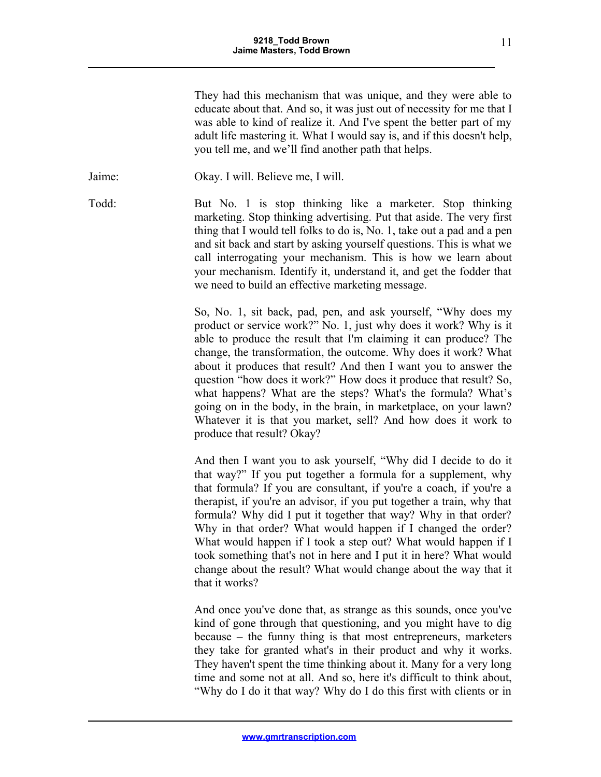They had this mechanism that was unique, and they were able to educate about that. And so, it was just out of necessity for me that I was able to kind of realize it. And I've spent the better part of my adult life mastering it. What I would say is, and if this doesn't help, you tell me, and we'll find another path that helps.

Jaime: Okay. I will. Believe me, I will.

Todd: But No. 1 is stop thinking like a marketer. Stop thinking marketing. Stop thinking advertising. Put that aside. The very first thing that I would tell folks to do is, No. 1, take out a pad and a pen and sit back and start by asking yourself questions. This is what we call interrogating your mechanism. This is how we learn about your mechanism. Identify it, understand it, and get the fodder that we need to build an effective marketing message.

> So, No. 1, sit back, pad, pen, and ask yourself, "Why does my product or service work?" No. 1, just why does it work? Why is it able to produce the result that I'm claiming it can produce? The change, the transformation, the outcome. Why does it work? What about it produces that result? And then I want you to answer the question "how does it work?" How does it produce that result? So, what happens? What are the steps? What's the formula? What's going on in the body, in the brain, in marketplace, on your lawn? Whatever it is that you market, sell? And how does it work to produce that result? Okay?

> And then I want you to ask yourself, "Why did I decide to do it that way?" If you put together a formula for a supplement, why that formula? If you are consultant, if you're a coach, if you're a therapist, if you're an advisor, if you put together a train, why that formula? Why did I put it together that way? Why in that order? Why in that order? What would happen if I changed the order? What would happen if I took a step out? What would happen if I took something that's not in here and I put it in here? What would change about the result? What would change about the way that it that it works?

> And once you've done that, as strange as this sounds, once you've kind of gone through that questioning, and you might have to dig because – the funny thing is that most entrepreneurs, marketers they take for granted what's in their product and why it works. They haven't spent the time thinking about it. Many for a very long time and some not at all. And so, here it's difficult to think about, "Why do I do it that way? Why do I do this first with clients or in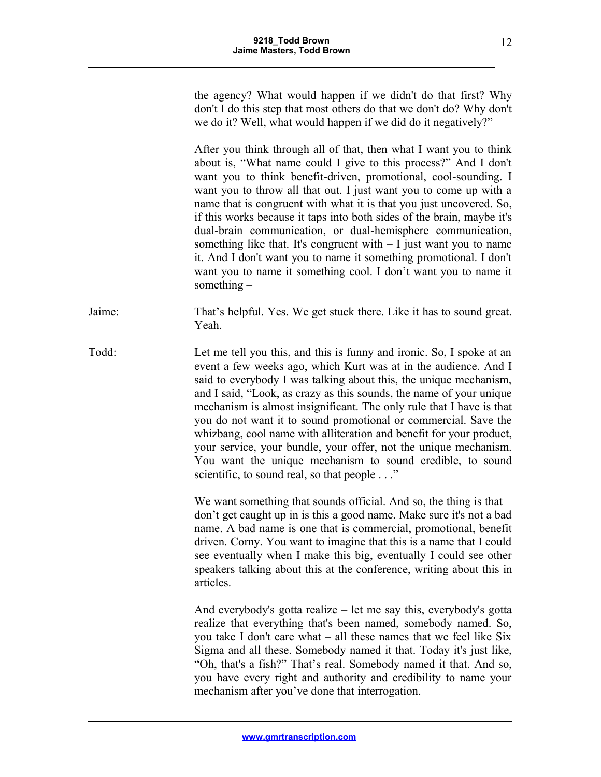the agency? What would happen if we didn't do that first? Why don't I do this step that most others do that we don't do? Why don't we do it? Well, what would happen if we did do it negatively?"

After you think through all of that, then what I want you to think about is, "What name could I give to this process?" And I don't want you to think benefit-driven, promotional, cool-sounding. I want you to throw all that out. I just want you to come up with a name that is congruent with what it is that you just uncovered. So, if this works because it taps into both sides of the brain, maybe it's dual-brain communication, or dual-hemisphere communication, something like that. It's congruent with  $-1$  just want you to name it. And I don't want you to name it something promotional. I don't want you to name it something cool. I don't want you to name it something –

Jaime: That's helpful. Yes. We get stuck there. Like it has to sound great. Yeah.

Todd: Let me tell you this, and this is funny and ironic. So, I spoke at an event a few weeks ago, which Kurt was at in the audience. And I said to everybody I was talking about this, the unique mechanism, and I said, "Look, as crazy as this sounds, the name of your unique mechanism is almost insignificant. The only rule that I have is that you do not want it to sound promotional or commercial. Save the whizbang, cool name with alliteration and benefit for your product, your service, your bundle, your offer, not the unique mechanism. You want the unique mechanism to sound credible, to sound scientific, to sound real, so that people . . ."

> We want something that sounds official. And so, the thing is that – don't get caught up in is this a good name. Make sure it's not a bad name. A bad name is one that is commercial, promotional, benefit driven. Corny. You want to imagine that this is a name that I could see eventually when I make this big, eventually I could see other speakers talking about this at the conference, writing about this in articles.

> And everybody's gotta realize – let me say this, everybody's gotta realize that everything that's been named, somebody named. So, you take I don't care what – all these names that we feel like Six Sigma and all these. Somebody named it that. Today it's just like, "Oh, that's a fish?" That's real. Somebody named it that. And so, you have every right and authority and credibility to name your mechanism after you've done that interrogation.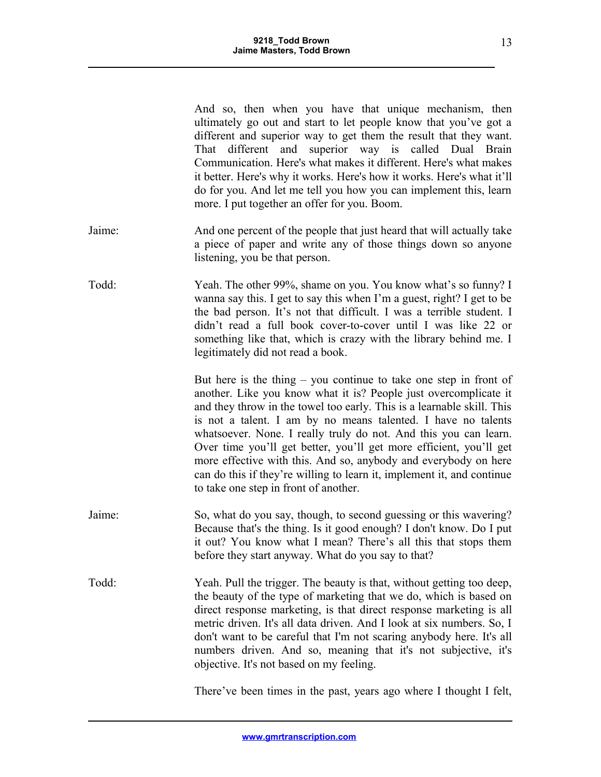|        | And so, then when you have that unique mechanism, then<br>ultimately go out and start to let people know that you've got a<br>different and superior way to get them the result that they want.<br>That different and superior way is called Dual Brain<br>Communication. Here's what makes it different. Here's what makes<br>it better. Here's why it works. Here's how it works. Here's what it'll<br>do for you. And let me tell you how you can implement this, learn<br>more. I put together an offer for you. Boom.                                                                                         |
|--------|--------------------------------------------------------------------------------------------------------------------------------------------------------------------------------------------------------------------------------------------------------------------------------------------------------------------------------------------------------------------------------------------------------------------------------------------------------------------------------------------------------------------------------------------------------------------------------------------------------------------|
| Jaime: | And one percent of the people that just heard that will actually take<br>a piece of paper and write any of those things down so anyone<br>listening, you be that person.                                                                                                                                                                                                                                                                                                                                                                                                                                           |
| Todd:  | Yeah. The other 99%, shame on you. You know what's so funny? I<br>wanna say this. I get to say this when I'm a guest, right? I get to be<br>the bad person. It's not that difficult. I was a terrible student. I<br>didn't read a full book cover-to-cover until I was like 22 or<br>something like that, which is crazy with the library behind me. I<br>legitimately did not read a book.                                                                                                                                                                                                                        |
|        | But here is the thing $-$ you continue to take one step in front of<br>another. Like you know what it is? People just overcomplicate it<br>and they throw in the towel too early. This is a learnable skill. This<br>is not a talent. I am by no means talented. I have no talents<br>whatsoever. None. I really truly do not. And this you can learn.<br>Over time you'll get better, you'll get more efficient, you'll get<br>more effective with this. And so, anybody and everybody on here<br>can do this if they're willing to learn it, implement it, and continue<br>to take one step in front of another. |
| Jaime: | So, what do you say, though, to second guessing or this wavering?<br>Because that's the thing. Is it good enough? I don't know. Do I put<br>it out? You know what I mean? There's all this that stops them<br>before they start anyway. What do you say to that?                                                                                                                                                                                                                                                                                                                                                   |
| Todd:  | Yeah. Pull the trigger. The beauty is that, without getting too deep,<br>the beauty of the type of marketing that we do, which is based on<br>direct response marketing, is that direct response marketing is all<br>metric driven. It's all data driven. And I look at six numbers. So, I<br>don't want to be careful that I'm not scaring anybody here. It's all<br>numbers driven. And so, meaning that it's not subjective, it's<br>objective. It's not based on my feeling.                                                                                                                                   |
|        |                                                                                                                                                                                                                                                                                                                                                                                                                                                                                                                                                                                                                    |

There've been times in the past, years ago where I thought I felt,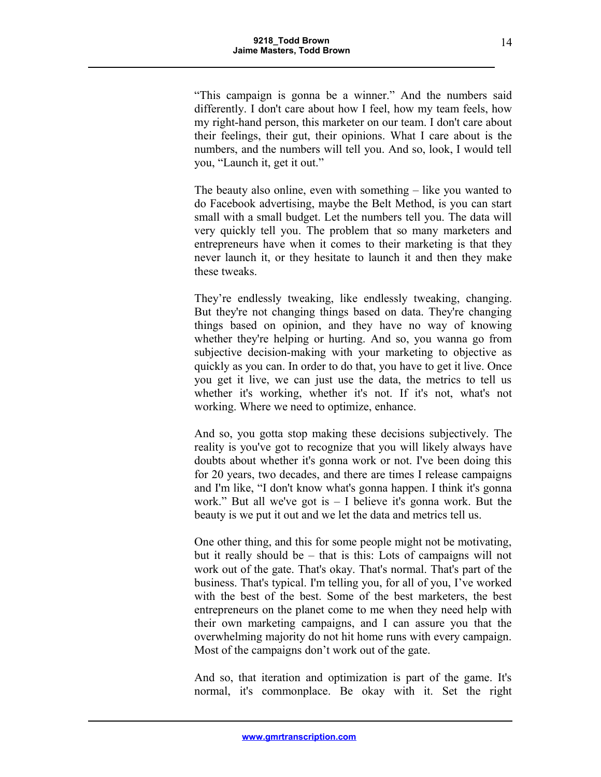"This campaign is gonna be a winner." And the numbers said differently. I don't care about how I feel, how my team feels, how my right-hand person, this marketer on our team. I don't care about their feelings, their gut, their opinions. What I care about is the numbers, and the numbers will tell you. And so, look, I would tell you, "Launch it, get it out."

The beauty also online, even with something – like you wanted to do Facebook advertising, maybe the Belt Method, is you can start small with a small budget. Let the numbers tell you. The data will very quickly tell you. The problem that so many marketers and entrepreneurs have when it comes to their marketing is that they never launch it, or they hesitate to launch it and then they make these tweaks.

They're endlessly tweaking, like endlessly tweaking, changing. But they're not changing things based on data. They're changing things based on opinion, and they have no way of knowing whether they're helping or hurting. And so, you wanna go from subjective decision-making with your marketing to objective as quickly as you can. In order to do that, you have to get it live. Once you get it live, we can just use the data, the metrics to tell us whether it's working, whether it's not. If it's not, what's not working. Where we need to optimize, enhance.

And so, you gotta stop making these decisions subjectively. The reality is you've got to recognize that you will likely always have doubts about whether it's gonna work or not. I've been doing this for 20 years, two decades, and there are times I release campaigns and I'm like, "I don't know what's gonna happen. I think it's gonna work." But all we've got is  $-1$  believe it's gonna work. But the beauty is we put it out and we let the data and metrics tell us.

One other thing, and this for some people might not be motivating, but it really should be – that is this: Lots of campaigns will not work out of the gate. That's okay. That's normal. That's part of the business. That's typical. I'm telling you, for all of you, I've worked with the best of the best. Some of the best marketers, the best entrepreneurs on the planet come to me when they need help with their own marketing campaigns, and I can assure you that the overwhelming majority do not hit home runs with every campaign. Most of the campaigns don't work out of the gate.

And so, that iteration and optimization is part of the game. It's normal, it's commonplace. Be okay with it. Set the right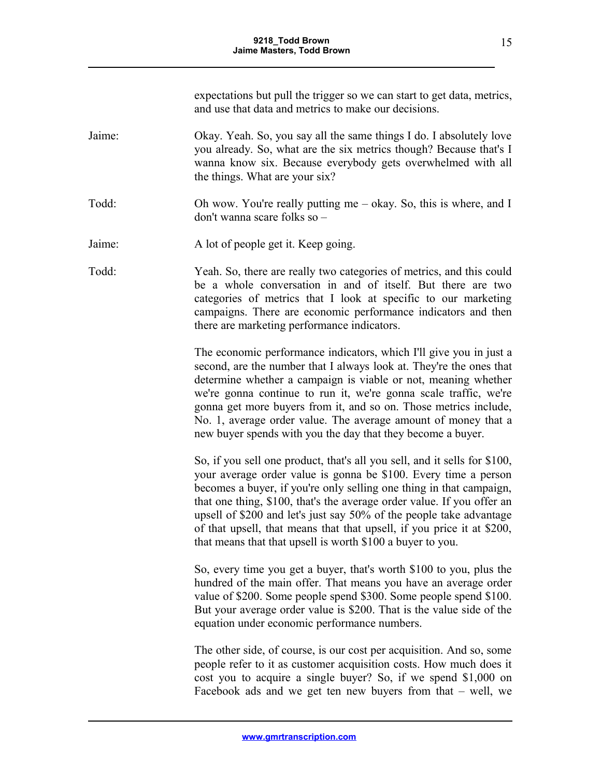expectations but pull the trigger so we can start to get data, metrics, and use that data and metrics to make our decisions.

- Jaime: Okay. Yeah. So, you say all the same things I do. I absolutely love you already. So, what are the six metrics though? Because that's I wanna know six. Because everybody gets overwhelmed with all the things. What are your six?
- Todd: Oh wow. You're really putting me okay. So, this is where, and I don't wanna scare folks so –
- Jaime: A lot of people get it. Keep going.
- Todd: Yeah. So, there are really two categories of metrics, and this could be a whole conversation in and of itself. But there are two categories of metrics that I look at specific to our marketing campaigns. There are economic performance indicators and then there are marketing performance indicators.

The economic performance indicators, which I'll give you in just a second, are the number that I always look at. They're the ones that determine whether a campaign is viable or not, meaning whether we're gonna continue to run it, we're gonna scale traffic, we're gonna get more buyers from it, and so on. Those metrics include, No. 1, average order value. The average amount of money that a new buyer spends with you the day that they become a buyer.

So, if you sell one product, that's all you sell, and it sells for \$100, your average order value is gonna be \$100. Every time a person becomes a buyer, if you're only selling one thing in that campaign, that one thing, \$100, that's the average order value. If you offer an upsell of \$200 and let's just say 50% of the people take advantage of that upsell, that means that that upsell, if you price it at \$200, that means that that upsell is worth \$100 a buyer to you.

So, every time you get a buyer, that's worth \$100 to you, plus the hundred of the main offer. That means you have an average order value of \$200. Some people spend \$300. Some people spend \$100. But your average order value is \$200. That is the value side of the equation under economic performance numbers.

The other side, of course, is our cost per acquisition. And so, some people refer to it as customer acquisition costs. How much does it cost you to acquire a single buyer? So, if we spend \$1,000 on Facebook ads and we get ten new buyers from that – well, we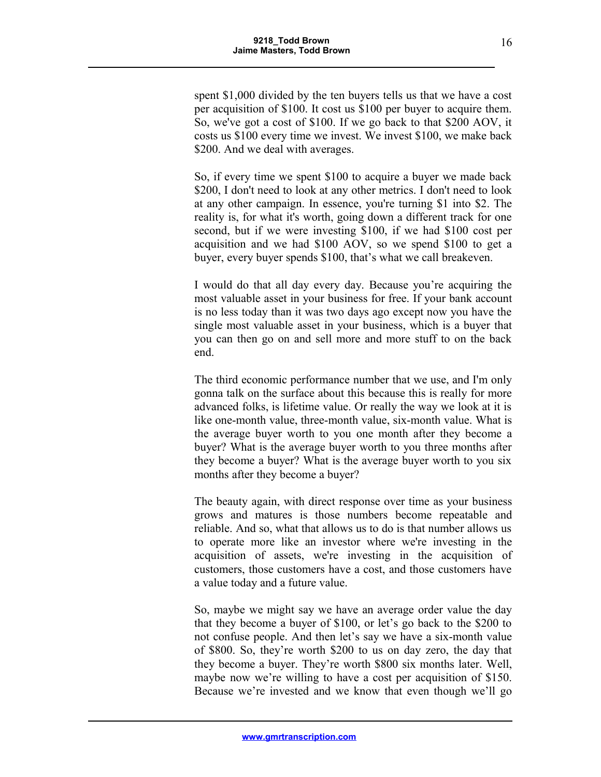spent \$1,000 divided by the ten buyers tells us that we have a cost per acquisition of \$100. It cost us \$100 per buyer to acquire them. So, we've got a cost of \$100. If we go back to that \$200 AOV, it costs us \$100 every time we invest. We invest \$100, we make back \$200. And we deal with averages.

So, if every time we spent \$100 to acquire a buyer we made back \$200, I don't need to look at any other metrics. I don't need to look at any other campaign. In essence, you're turning \$1 into \$2. The reality is, for what it's worth, going down a different track for one second, but if we were investing \$100, if we had \$100 cost per acquisition and we had \$100 AOV, so we spend \$100 to get a buyer, every buyer spends \$100, that's what we call breakeven.

I would do that all day every day. Because you're acquiring the most valuable asset in your business for free. If your bank account is no less today than it was two days ago except now you have the single most valuable asset in your business, which is a buyer that you can then go on and sell more and more stuff to on the back end.

The third economic performance number that we use, and I'm only gonna talk on the surface about this because this is really for more advanced folks, is lifetime value. Or really the way we look at it is like one-month value, three-month value, six-month value. What is the average buyer worth to you one month after they become a buyer? What is the average buyer worth to you three months after they become a buyer? What is the average buyer worth to you six months after they become a buyer?

The beauty again, with direct response over time as your business grows and matures is those numbers become repeatable and reliable. And so, what that allows us to do is that number allows us to operate more like an investor where we're investing in the acquisition of assets, we're investing in the acquisition of customers, those customers have a cost, and those customers have a value today and a future value.

So, maybe we might say we have an average order value the day that they become a buyer of \$100, or let's go back to the \$200 to not confuse people. And then let's say we have a six-month value of \$800. So, they're worth \$200 to us on day zero, the day that they become a buyer. They're worth \$800 six months later. Well, maybe now we're willing to have a cost per acquisition of \$150. Because we're invested and we know that even though we'll go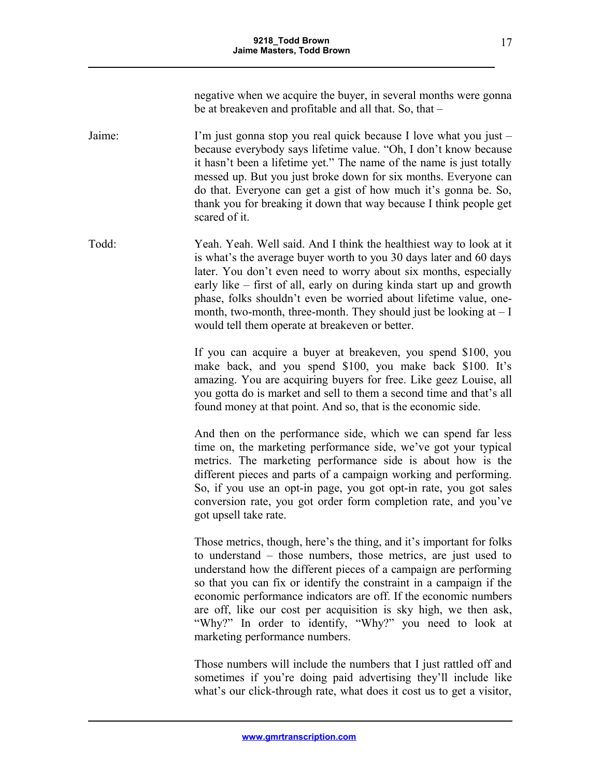negative when we acquire the buyer, in several months were gonna be at breakeven and profitable and all that. So, that –

Jaime: I'm just gonna stop you real quick because I love what you just – because everybody says lifetime value. "Oh, I don't know because it hasn't been a lifetime yet." The name of the name is just totally messed up. But you just broke down for six months. Everyone can do that. Everyone can get a gist of how much it's gonna be. So, thank you for breaking it down that way because I think people get scared of it.

Todd: Yeah. Yeah. Well said. And I think the healthiest way to look at it is what's the average buyer worth to you 30 days later and 60 days later. You don't even need to worry about six months, especially early like – first of all, early on during kinda start up and growth phase, folks shouldn't even be worried about lifetime value, onemonth, two-month, three-month. They should just be looking at  $-1$ would tell them operate at breakeven or better.

> If you can acquire a buyer at breakeven, you spend \$100, you make back, and you spend \$100, you make back \$100. It's amazing. You are acquiring buyers for free. Like geez Louise, all you gotta do is market and sell to them a second time and that's all found money at that point. And so, that is the economic side.

> And then on the performance side, which we can spend far less time on, the marketing performance side, we've got your typical metrics. The marketing performance side is about how is the different pieces and parts of a campaign working and performing. So, if you use an opt-in page, you got opt-in rate, you got sales conversion rate, you got order form completion rate, and you've got upsell take rate.

> Those metrics, though, here's the thing, and it's important for folks to understand – those numbers, those metrics, are just used to understand how the different pieces of a campaign are performing so that you can fix or identify the constraint in a campaign if the economic performance indicators are off. If the economic numbers are off, like our cost per acquisition is sky high, we then ask, "Why?" In order to identify, "Why?" you need to look at marketing performance numbers.

> Those numbers will include the numbers that I just rattled off and sometimes if you're doing paid advertising they'll include like what's our click-through rate, what does it cost us to get a visitor,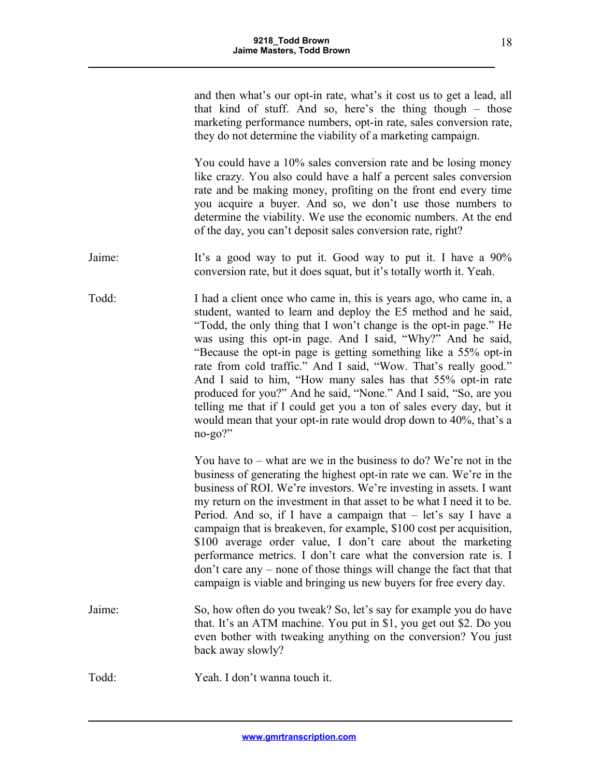| and then what's our opt-in rate, what's it cost us to get a lead, all |  |  |  |  |
|-----------------------------------------------------------------------|--|--|--|--|
| that kind of stuff. And so, here's the thing though – those           |  |  |  |  |
| marketing performance numbers, opt-in rate, sales conversion rate,    |  |  |  |  |
| they do not determine the viability of a marketing campaign.          |  |  |  |  |

You could have a 10% sales conversion rate and be losing money like crazy. You also could have a half a percent sales conversion rate and be making money, profiting on the front end every time you acquire a buyer. And so, we don't use those numbers to determine the viability. We use the economic numbers. At the end of the day, you can't deposit sales conversion rate, right?

- Jaime: It's a good way to put it. Good way to put it. I have a 90% conversion rate, but it does squat, but it's totally worth it. Yeah.
- Todd: I had a client once who came in, this is years ago, who came in, a student, wanted to learn and deploy the E5 method and he said, "Todd, the only thing that I won't change is the opt-in page." He was using this opt-in page. And I said, "Why?" And he said, "Because the opt-in page is getting something like a 55% opt-in rate from cold traffic." And I said, "Wow. That's really good." And I said to him, "How many sales has that 55% opt-in rate produced for you?" And he said, "None." And I said, "So, are you telling me that if I could get you a ton of sales every day, but it would mean that your opt-in rate would drop down to 40%, that's a no-go?"

You have to – what are we in the business to do? We're not in the business of generating the highest opt-in rate we can. We're in the business of ROI. We're investors. We're investing in assets. I want my return on the investment in that asset to be what I need it to be. Period. And so, if I have a campaign that – let's say I have a campaign that is breakeven, for example, \$100 cost per acquisition, \$100 average order value, I don't care about the marketing performance metrics. I don't care what the conversion rate is. I don't care any – none of those things will change the fact that that campaign is viable and bringing us new buyers for free every day.

Jaime: So, how often do you tweak? So, let's say for example you do have that. It's an ATM machine. You put in \$1, you get out \$2. Do you even bother with tweaking anything on the conversion? You just back away slowly?

Todd: Yeah. I don't wanna touch it.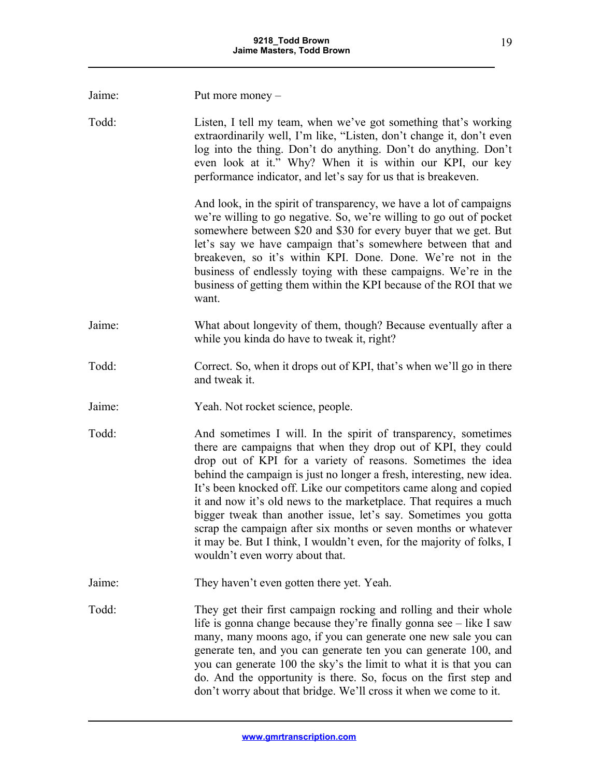| Jaime: | Put more money $-$                                                                                                                                                                                                                                                                                                                                                                                                                                                                                                                                                                                                                                                    |
|--------|-----------------------------------------------------------------------------------------------------------------------------------------------------------------------------------------------------------------------------------------------------------------------------------------------------------------------------------------------------------------------------------------------------------------------------------------------------------------------------------------------------------------------------------------------------------------------------------------------------------------------------------------------------------------------|
| Todd:  | Listen, I tell my team, when we've got something that's working<br>extraordinarily well, I'm like, "Listen, don't change it, don't even<br>log into the thing. Don't do anything. Don't do anything. Don't<br>even look at it." Why? When it is within our KPI, our key<br>performance indicator, and let's say for us that is breakeven.                                                                                                                                                                                                                                                                                                                             |
|        | And look, in the spirit of transparency, we have a lot of campaigns<br>we're willing to go negative. So, we're willing to go out of pocket<br>somewhere between \$20 and \$30 for every buyer that we get. But<br>let's say we have campaign that's somewhere between that and<br>breakeven, so it's within KPI. Done. Done. We're not in the<br>business of endlessly toying with these campaigns. We're in the<br>business of getting them within the KPI because of the ROI that we<br>want.                                                                                                                                                                       |
| Jaime: | What about longevity of them, though? Because eventually after a<br>while you kinda do have to tweak it, right?                                                                                                                                                                                                                                                                                                                                                                                                                                                                                                                                                       |
| Todd:  | Correct. So, when it drops out of KPI, that's when we'll go in there<br>and tweak it.                                                                                                                                                                                                                                                                                                                                                                                                                                                                                                                                                                                 |
| Jaime: | Yeah. Not rocket science, people.                                                                                                                                                                                                                                                                                                                                                                                                                                                                                                                                                                                                                                     |
| Todd:  | And sometimes I will. In the spirit of transparency, sometimes<br>there are campaigns that when they drop out of KPI, they could<br>drop out of KPI for a variety of reasons. Sometimes the idea<br>behind the campaign is just no longer a fresh, interesting, new idea.<br>It's been knocked off. Like our competitors came along and copied<br>it and now it's old news to the marketplace. That requires a much<br>bigger tweak than another issue, let's say. Sometimes you gotta<br>scrap the campaign after six months or seven months or whatever<br>it may be. But I think, I wouldn't even, for the majority of folks, I<br>wouldn't even worry about that. |
| Jaime: | They haven't even gotten there yet. Yeah.                                                                                                                                                                                                                                                                                                                                                                                                                                                                                                                                                                                                                             |
| Todd:  | They get their first campaign rocking and rolling and their whole<br>life is gonna change because they're finally gonna see – like I saw<br>many, many moons ago, if you can generate one new sale you can<br>generate ten, and you can generate ten you can generate 100, and<br>you can generate 100 the sky's the limit to what it is that you can<br>do. And the opportunity is there. So, focus on the first step and<br>don't worry about that bridge. We'll cross it when we come to it.                                                                                                                                                                       |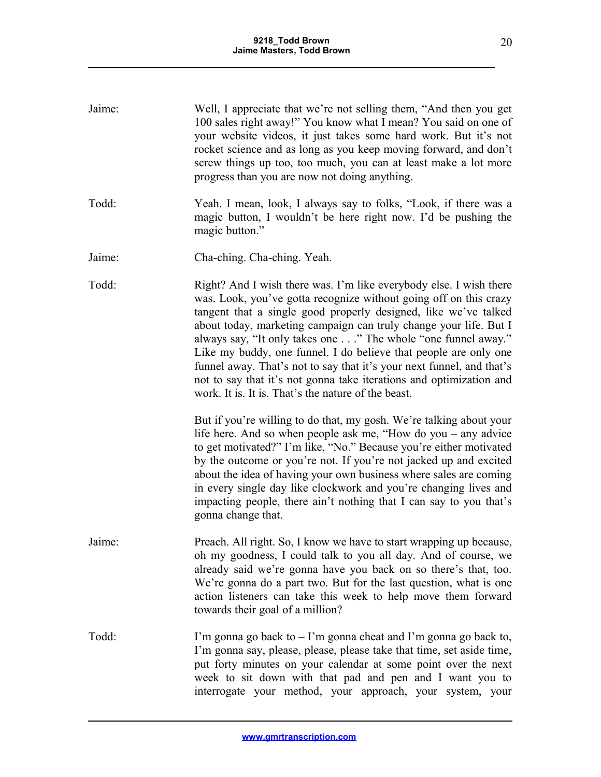| Jaime: | Well, I appreciate that we're not selling them, "And then you get<br>100 sales right away!" You know what I mean? You said on one of<br>your website videos, it just takes some hard work. But it's not<br>rocket science and as long as you keep moving forward, and don't<br>screw things up too, too much, you can at least make a lot more<br>progress than you are now not doing anything.                                                                                                                                                                                                                                                                                                                                                                       |
|--------|-----------------------------------------------------------------------------------------------------------------------------------------------------------------------------------------------------------------------------------------------------------------------------------------------------------------------------------------------------------------------------------------------------------------------------------------------------------------------------------------------------------------------------------------------------------------------------------------------------------------------------------------------------------------------------------------------------------------------------------------------------------------------|
| Todd:  | Yeah. I mean, look, I always say to folks, "Look, if there was a<br>magic button, I wouldn't be here right now. I'd be pushing the<br>magic button."                                                                                                                                                                                                                                                                                                                                                                                                                                                                                                                                                                                                                  |
| Jaime: | Cha-ching. Cha-ching. Yeah.                                                                                                                                                                                                                                                                                                                                                                                                                                                                                                                                                                                                                                                                                                                                           |
| Todd:  | Right? And I wish there was. I'm like everybody else. I wish there<br>was. Look, you've gotta recognize without going off on this crazy<br>tangent that a single good properly designed, like we've talked<br>about today, marketing campaign can truly change your life. But I<br>always say, "It only takes one" The whole "one funnel away."<br>Like my buddy, one funnel. I do believe that people are only one<br>funnel away. That's not to say that it's your next funnel, and that's<br>not to say that it's not gonna take iterations and optimization and<br>work. It is. It is. That's the nature of the beast.<br>But if you're willing to do that, my gosh. We're talking about your<br>life here. And so when people ask me, "How do you $-$ any advice |
|        | to get motivated?" I'm like, "No." Because you're either motivated<br>by the outcome or you're not. If you're not jacked up and excited<br>about the idea of having your own business where sales are coming<br>in every single day like clockwork and you're changing lives and<br>impacting people, there ain't nothing that I can say to you that's<br>gonna change that.                                                                                                                                                                                                                                                                                                                                                                                          |
| Jaime: | Preach. All right. So, I know we have to start wrapping up because,<br>oh my goodness, I could talk to you all day. And of course, we<br>already said we're gonna have you back on so there's that, too.<br>We're gonna do a part two. But for the last question, what is one<br>action listeners can take this week to help move them forward<br>towards their goal of a million?                                                                                                                                                                                                                                                                                                                                                                                    |
| Todd:  | I'm gonna go back to $-$ I'm gonna cheat and I'm gonna go back to,<br>I'm gonna say, please, please, please take that time, set aside time,<br>put forty minutes on your calendar at some point over the next<br>week to sit down with that pad and pen and I want you to<br>interrogate your method, your approach, your system, your                                                                                                                                                                                                                                                                                                                                                                                                                                |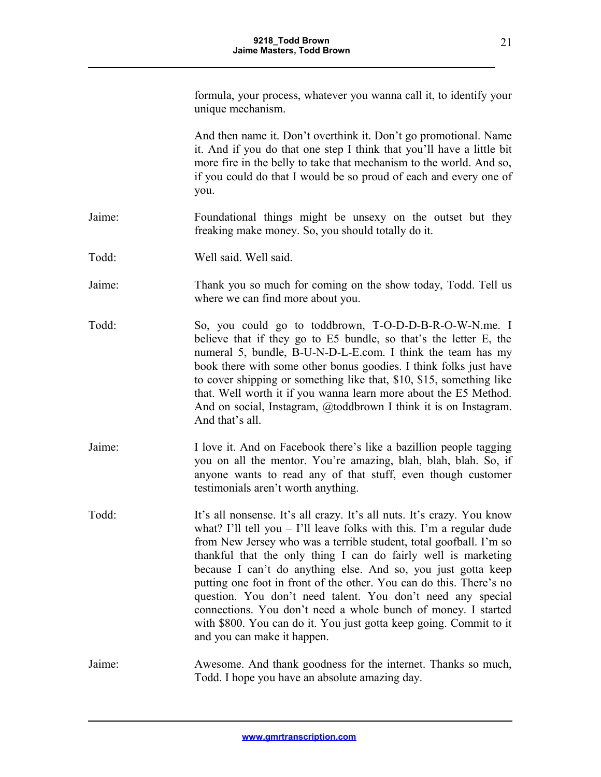formula, your process, whatever you wanna call it, to identify your unique mechanism.

And then name it. Don't overthink it. Don't go promotional. Name it. And if you do that one step I think that you'll have a little bit more fire in the belly to take that mechanism to the world. And so, if you could do that I would be so proud of each and every one of you.

- Jaime: Foundational things might be unsexy on the outset but they freaking make money. So, you should totally do it.
- Todd: Well said. Well said.
- Jaime: Thank you so much for coming on the show today, Todd. Tell us where we can find more about you.
- Todd: So, you could go to toddbrown, T-O-D-D-B-R-O-W-N.me. I believe that if they go to E5 bundle, so that's the letter E, the numeral 5, bundle, B-U-N-D-L-E.com. I think the team has my book there with some other bonus goodies. I think folks just have to cover shipping or something like that, \$10, \$15, something like that. Well worth it if you wanna learn more about the E5 Method. And on social, Instagram, @toddbrown I think it is on Instagram. And that's all.
- Jaime: I love it. And on Facebook there's like a bazillion people tagging you on all the mentor. You're amazing, blah, blah, blah. So, if anyone wants to read any of that stuff, even though customer testimonials aren't worth anything.
- Todd: It's all nonsense. It's all crazy. It's all nuts. It's crazy. You know what? I'll tell you  $-$  I'll leave folks with this. I'm a regular dude from New Jersey who was a terrible student, total goofball. I'm so thankful that the only thing I can do fairly well is marketing because I can't do anything else. And so, you just gotta keep putting one foot in front of the other. You can do this. There's no question. You don't need talent. You don't need any special connections. You don't need a whole bunch of money. I started with \$800. You can do it. You just gotta keep going. Commit to it and you can make it happen.
- Jaime: Awesome. And thank goodness for the internet. Thanks so much, Todd. I hope you have an absolute amazing day.